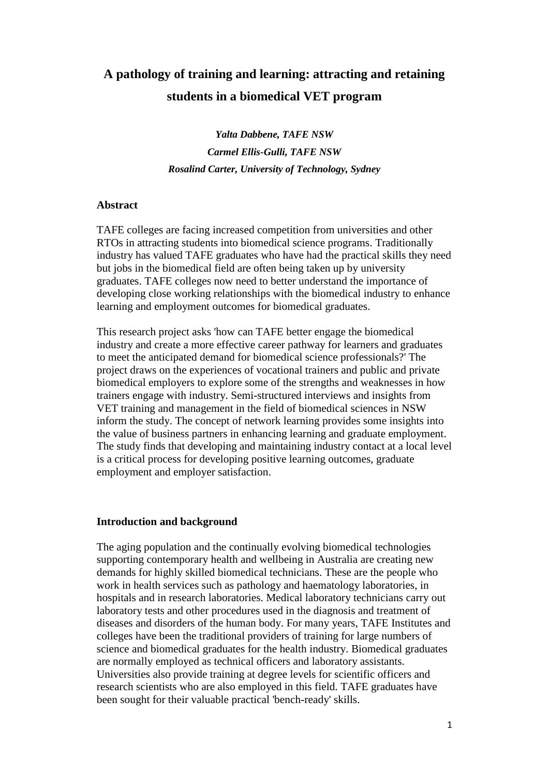# **A pathology of training and learning: attracting and retaining students in a biomedical VET program**

*Yalta Dabbene, TAFE NSW Carmel Ellis-Gulli, TAFE NSW Rosalind Carter, University of Technology, Sydney*

# **Abstract**

TAFE colleges are facing increased competition from universities and other RTOs in attracting students into biomedical science programs. Traditionally industry has valued TAFE graduates who have had the practical skills they need but jobs in the biomedical field are often being taken up by university graduates. TAFE colleges now need to better understand the importance of developing close working relationships with the biomedical industry to enhance learning and employment outcomes for biomedical graduates.

This research project asks 'how can TAFE better engage the biomedical industry and create a more effective career pathway for learners and graduates to meet the anticipated demand for biomedical science professionals?' The project draws on the experiences of vocational trainers and public and private biomedical employers to explore some of the strengths and weaknesses in how trainers engage with industry. Semi-structured interviews and insights from VET training and management in the field of biomedical sciences in NSW inform the study. The concept of network learning provides some insights into the value of business partners in enhancing learning and graduate employment. The study finds that developing and maintaining industry contact at a local level is a critical process for developing positive learning outcomes, graduate employment and employer satisfaction.

# **Introduction and background**

The aging population and the continually evolving biomedical technologies supporting contemporary health and wellbeing in Australia are creating new demands for highly skilled biomedical technicians. These are the people who work in health services such as pathology and haematology laboratories, in hospitals and in research laboratories. Medical laboratory technicians carry out laboratory tests and other procedures used in the diagnosis and treatment of diseases and disorders of the human body. For many years, TAFE Institutes and colleges have been the traditional providers of training for large numbers of science and biomedical graduates for the health industry. Biomedical graduates are normally employed as technical officers and laboratory assistants. Universities also provide training at degree levels for scientific officers and research scientists who are also employed in this field. TAFE graduates have been sought for their valuable practical 'bench-ready' skills.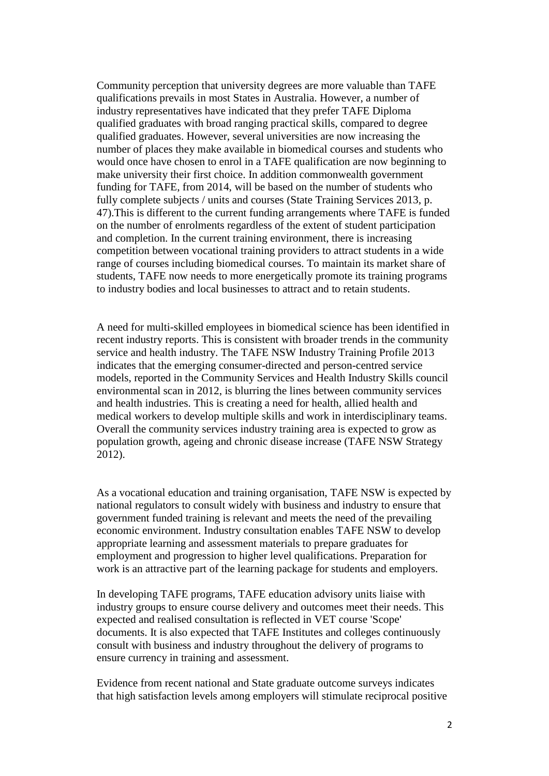Community perception that university degrees are more valuable than TAFE qualifications prevails in most States in Australia. However, a number of industry representatives have indicated that they prefer TAFE Diploma qualified graduates with broad ranging practical skills, compared to degree qualified graduates. However, several universities are now increasing the number of places they make available in biomedical courses and students who would once have chosen to enrol in a TAFE qualification are now beginning to make university their first choice. In addition commonwealth government funding for TAFE, from 2014, will be based on the number of students who fully complete subjects / units and courses [\(State Training Services 2013, p.](#page-9-0)  [47\)](#page-9-0).This is different to the current funding arrangements where TAFE is funded on the number of enrolments regardless of the extent of student participation and completion. In the current training environment, there is increasing competition between vocational training providers to attract students in a wide range of courses including biomedical courses. To maintain its market share of students, TAFE now needs to more energetically promote its training programs to industry bodies and local businesses to attract and to retain students.

A need for multi-skilled employees in biomedical science has been identified in recent industry reports. This is consistent with broader trends in the community service and health industry. The TAFE NSW Industry Training Profile 2013 indicates that the emerging consumer-directed and person-centred service models, reported in the Community Services and Health Industry Skills council environmental scan in 2012, is blurring the lines between community services and health industries. This is creating a need for health, allied health and medical workers to develop multiple skills and work in interdisciplinary teams. Overall the community services industry training area is expected to grow as population growth, ageing and chronic disease increase [\(TAFE NSW Strategy](#page-9-1)  [2012\)](#page-9-1).

As a vocational education and training organisation, TAFE NSW is expected by national regulators to consult widely with business and industry to ensure that government funded training is relevant and meets the need of the prevailing economic environment. Industry consultation enables TAFE NSW to develop appropriate learning and assessment materials to prepare graduates for employment and progression to higher level qualifications. Preparation for work is an attractive part of the learning package for students and employers.

In developing TAFE programs, TAFE education advisory units liaise with industry groups to ensure course delivery and outcomes meet their needs. This expected and realised consultation is reflected in VET course 'Scope' documents. It is also expected that TAFE Institutes and colleges continuously consult with business and industry throughout the delivery of programs to ensure currency in training and assessment.

Evidence from recent national and State graduate outcome surveys indicates that high satisfaction levels among employers will stimulate reciprocal positive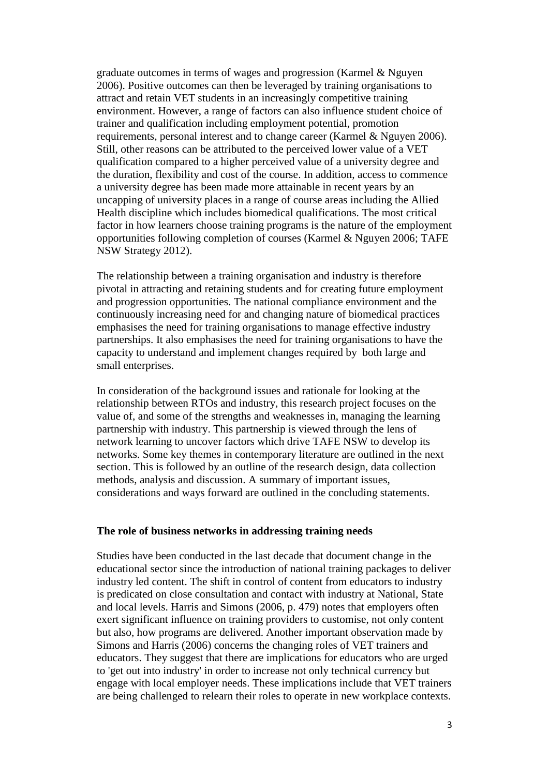graduate outcomes in terms of wages and progression [\(Karmel & Nguyen](#page-9-2)  [2006\)](#page-9-2). Positive outcomes can then be leveraged by training organisations to attract and retain VET students in an increasingly competitive training environment. However, a range of factors can also influence student choice of trainer and qualification including employment potential, promotion requirements, personal interest and to change career [\(Karmel & Nguyen 2006\)](#page-9-2). Still, other reasons can be attributed to the perceived lower value of a VET qualification compared to a higher perceived value of a university degree and the duration, flexibility and cost of the course. In addition, access to commence a university degree has been made more attainable in recent years by an uncapping of university places in a range of course areas including the Allied Health discipline which includes biomedical qualifications. The most critical factor in how learners choose training programs is the nature of the employment opportunities following completion of courses [\(Karmel & Nguyen 2006;](#page-9-2) [TAFE](#page-9-1)  [NSW Strategy 2012\)](#page-9-1).

The relationship between a training organisation and industry is therefore pivotal in attracting and retaining students and for creating future employment and progression opportunities. The national compliance environment and the continuously increasing need for and changing nature of biomedical practices emphasises the need for training organisations to manage effective industry partnerships. It also emphasises the need for training organisations to have the capacity to understand and implement changes required by both large and small enterprises.

In consideration of the background issues and rationale for looking at the relationship between RTOs and industry, this research project focuses on the value of, and some of the strengths and weaknesses in, managing the learning partnership with industry. This partnership is viewed through the lens of network learning to uncover factors which drive TAFE NSW to develop its networks. Some key themes in contemporary literature are outlined in the next section. This is followed by an outline of the research design, data collection methods, analysis and discussion. A summary of important issues, considerations and ways forward are outlined in the concluding statements.

# **The role of business networks in addressing training needs**

Studies have been conducted in the last decade that document change in the educational sector since the introduction of national training packages to deliver industry led content. The shift in control of content from educators to industry is predicated on close consultation and contact with industry at National, State and local levels. Harris and Simons [\(2006, p. 479\)](#page-9-3) notes that employers often exert significant influence on training providers to customise, not only content but also, how programs are delivered. Another important observation made by Simons and Harris (2006) concerns the changing roles of VET trainers and educators. They suggest that there are implications for educators who are urged to 'get out into industry' in order to increase not only technical currency but engage with local employer needs. These implications include that VET trainers are being challenged to relearn their roles to operate in new workplace contexts.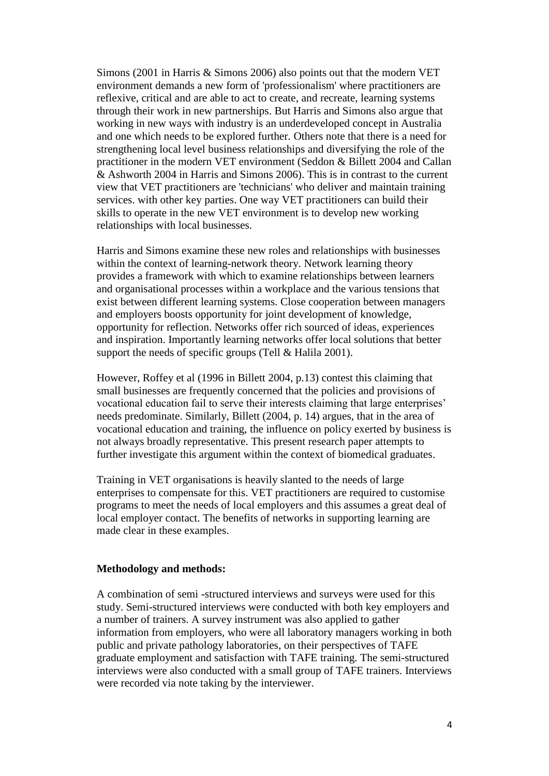Simons [\(2001 in Harris & Simons 2006\)](#page-9-3) also points out that the modern VET environment demands a new form of 'professionalism' where practitioners are reflexive, critical and are able to act to create, and recreate, learning systems through their work in new partnerships. But Harris and Simons also argue that working in new ways with industry is an underdeveloped concept in Australia and one which needs to be explored further. Others note that there is a need for strengthening local level business relationships and diversifying the role of the practitioner in the modern VET environment (Seddon & Billett 2004 and Callan & Ashworth 2004 in Harris and Simons 2006). This is in contrast to the current view that VET practitioners are 'technicians' who deliver and maintain training services. with other key parties. One way VET practitioners can build their skills to operate in the new VET environment is to develop new working relationships with local businesses.

Harris and Simons examine these new roles and relationships with businesses within the context of learning-network theory. Network learning theory provides a framework with which to examine relationships between learners and organisational processes within a workplace and the various tensions that exist between different learning systems. Close cooperation between managers and employers boosts opportunity for joint development of knowledge, opportunity for reflection. Networks offer rich sourced of ideas, experiences and inspiration. Importantly learning networks offer local solutions that better support the needs of specific groups [\(Tell & Halila 2001\)](#page-9-4).

However, Roffey et al (1996 in Billett 2004, p.13) contest this claiming that small businesses are frequently concerned that the policies and provisions of vocational education fail to serve their interests claiming that large enterprises' needs predominate. Similarly, Billett [\(2004, p. 14\)](#page-9-5) argues, that in the area of vocational education and training, the influence on policy exerted by business is not always broadly representative. This present research paper attempts to further investigate this argument within the context of biomedical graduates.

Training in VET organisations is heavily slanted to the needs of large enterprises to compensate for this. VET practitioners are required to customise programs to meet the needs of local employers and this assumes a great deal of local employer contact. The benefits of networks in supporting learning are made clear in these examples.

#### **Methodology and methods:**

A combination of semi -structured interviews and surveys were used for this study. Semi-structured interviews were conducted with both key employers and a number of trainers. A survey instrument was also applied to gather information from employers, who were all laboratory managers working in both public and private pathology laboratories, on their perspectives of TAFE graduate employment and satisfaction with TAFE training. The semi-structured interviews were also conducted with a small group of TAFE trainers. Interviews were recorded via note taking by the interviewer.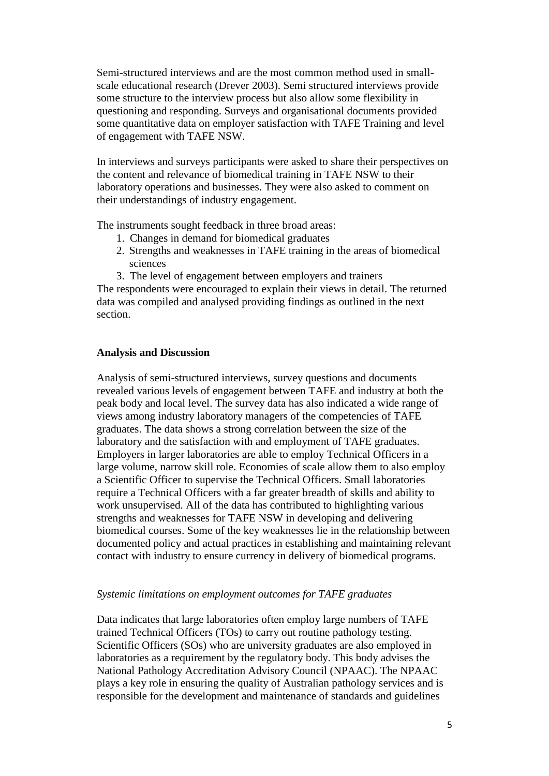Semi-structured interviews and are the most common method used in smallscale educational research [\(Drever 2003\)](#page-9-6). Semi structured interviews provide some structure to the interview process but also allow some flexibility in questioning and responding. Surveys and organisational documents provided some quantitative data on employer satisfaction with TAFE Training and level of engagement with TAFE NSW.

In interviews and surveys participants were asked to share their perspectives on the content and relevance of biomedical training in TAFE NSW to their laboratory operations and businesses. They were also asked to comment on their understandings of industry engagement.

The instruments sought feedback in three broad areas:

- 1. Changes in demand for biomedical graduates
- 2. Strengths and weaknesses in TAFE training in the areas of biomedical sciences
- 3. The level of engagement between employers and trainers

The respondents were encouraged to explain their views in detail. The returned data was compiled and analysed providing findings as outlined in the next section.

# **Analysis and Discussion**

Analysis of semi-structured interviews, survey questions and documents revealed various levels of engagement between TAFE and industry at both the peak body and local level. The survey data has also indicated a wide range of views among industry laboratory managers of the competencies of TAFE graduates. The data shows a strong correlation between the size of the laboratory and the satisfaction with and employment of TAFE graduates. Employers in larger laboratories are able to employ Technical Officers in a large volume, narrow skill role. Economies of scale allow them to also employ a Scientific Officer to supervise the Technical Officers. Small laboratories require a Technical Officers with a far greater breadth of skills and ability to work unsupervised. All of the data has contributed to highlighting various strengths and weaknesses for TAFE NSW in developing and delivering biomedical courses. Some of the key weaknesses lie in the relationship between documented policy and actual practices in establishing and maintaining relevant contact with industry to ensure currency in delivery of biomedical programs.

### *Systemic limitations on employment outcomes for TAFE graduates*

Data indicates that large laboratories often employ large numbers of TAFE trained Technical Officers (TOs) to carry out routine pathology testing. Scientific Officers (SOs) who are university graduates are also employed in laboratories as a requirement by the regulatory body. This body advises the National Pathology Accreditation Advisory Council (NPAAC). The NPAAC plays a key role in ensuring the quality of Australian pathology services and is responsible for the development and maintenance of standards and guidelines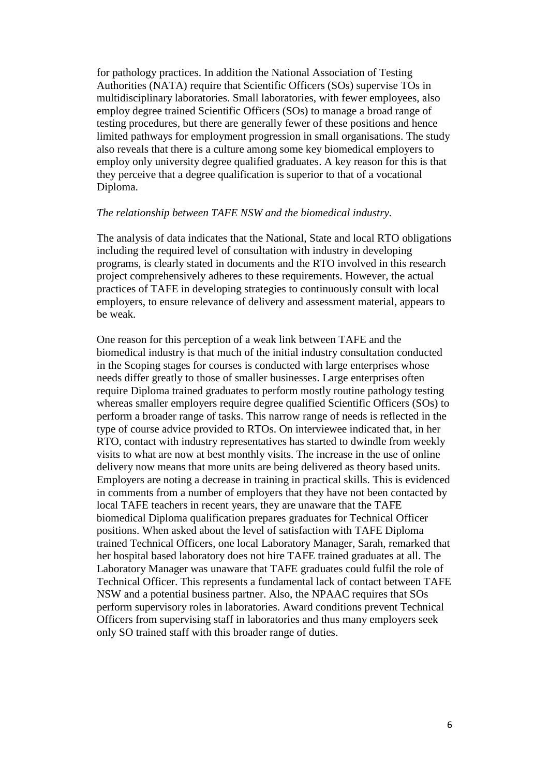for pathology practices. In addition the National Association of Testing Authorities (NATA) require that Scientific Officers (SOs) supervise TOs in multidisciplinary laboratories. Small laboratories, with fewer employees, also employ degree trained Scientific Officers (SOs) to manage a broad range of testing procedures, but there are generally fewer of these positions and hence limited pathways for employment progression in small organisations. The study also reveals that there is a culture among some key biomedical employers to employ only university degree qualified graduates. A key reason for this is that they perceive that a degree qualification is superior to that of a vocational Diploma.

#### *The relationship between TAFE NSW and the biomedical industry.*

The analysis of data indicates that the National, State and local RTO obligations including the required level of consultation with industry in developing programs, is clearly stated in documents and the RTO involved in this research project comprehensively adheres to these requirements. However, the actual practices of TAFE in developing strategies to continuously consult with local employers, to ensure relevance of delivery and assessment material, appears to be weak.

One reason for this perception of a weak link between TAFE and the biomedical industry is that much of the initial industry consultation conducted in the Scoping stages for courses is conducted with large enterprises whose needs differ greatly to those of smaller businesses. Large enterprises often require Diploma trained graduates to perform mostly routine pathology testing whereas smaller employers require degree qualified Scientific Officers (SOs) to perform a broader range of tasks. This narrow range of needs is reflected in the type of course advice provided to RTOs. On interviewee indicated that, in her RTO, contact with industry representatives has started to dwindle from weekly visits to what are now at best monthly visits. The increase in the use of online delivery now means that more units are being delivered as theory based units. Employers are noting a decrease in training in practical skills. This is evidenced in comments from a number of employers that they have not been contacted by local TAFE teachers in recent years, they are unaware that the TAFE biomedical Diploma qualification prepares graduates for Technical Officer positions. When asked about the level of satisfaction with TAFE Diploma trained Technical Officers, one local Laboratory Manager, Sarah, remarked that her hospital based laboratory does not hire TAFE trained graduates at all. The Laboratory Manager was unaware that TAFE graduates could fulfil the role of Technical Officer. This represents a fundamental lack of contact between TAFE NSW and a potential business partner. Also, the NPAAC requires that SOs perform supervisory roles in laboratories. Award conditions prevent Technical Officers from supervising staff in laboratories and thus many employers seek only SO trained staff with this broader range of duties.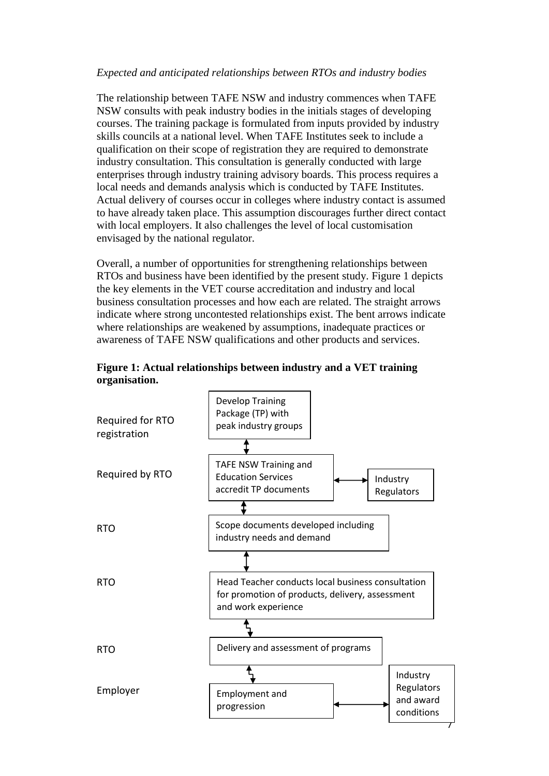# *Expected and anticipated relationships between RTOs and industry bodies*

The relationship between TAFE NSW and industry commences when TAFE NSW consults with peak industry bodies in the initials stages of developing courses. The training package is formulated from inputs provided by industry skills councils at a national level. When TAFE Institutes seek to include a qualification on their scope of registration they are required to demonstrate industry consultation. This consultation is generally conducted with large enterprises through industry training advisory boards. This process requires a local needs and demands analysis which is conducted by TAFE Institutes. Actual delivery of courses occur in colleges where industry contact is assumed to have already taken place. This assumption discourages further direct contact with local employers. It also challenges the level of local customisation envisaged by the national regulator.

Overall, a number of opportunities for strengthening relationships between RTOs and business have been identified by the present study. Figure 1 depicts the key elements in the VET course accreditation and industry and local business consultation processes and how each are related. The straight arrows indicate where strong uncontested relationships exist. The bent arrows indicate where relationships are weakened by assumptions, inadequate practices or awareness of TAFE NSW qualifications and other products and services.



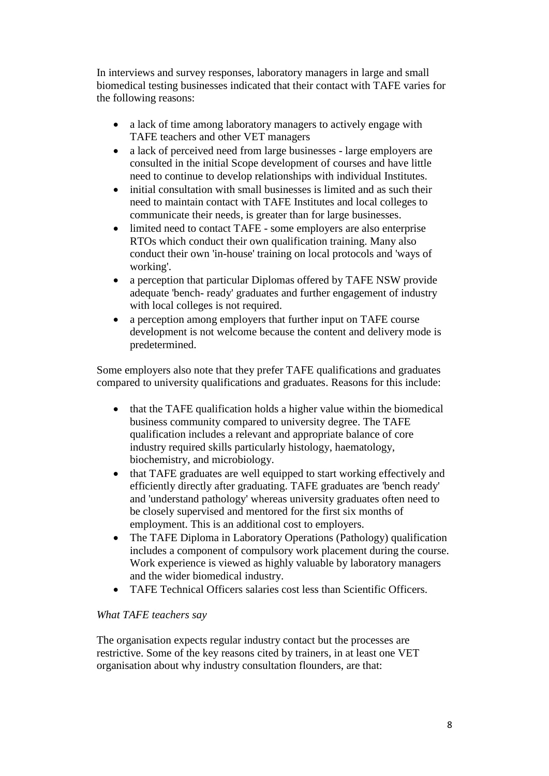In interviews and survey responses, laboratory managers in large and small biomedical testing businesses indicated that their contact with TAFE varies for the following reasons:

- a lack of time among laboratory managers to actively engage with TAFE teachers and other VET managers
- a lack of perceived need from large businesses large employers are consulted in the initial Scope development of courses and have little need to continue to develop relationships with individual Institutes.
- initial consultation with small businesses is limited and as such their need to maintain contact with TAFE Institutes and local colleges to communicate their needs, is greater than for large businesses.
- limited need to contact TAFE some employers are also enterprise RTOs which conduct their own qualification training. Many also conduct their own 'in-house' training on local protocols and 'ways of working'.
- a perception that particular Diplomas offered by TAFE NSW provide adequate 'bench- ready' graduates and further engagement of industry with local colleges is not required.
- a perception among employers that further input on TAFE course development is not welcome because the content and delivery mode is predetermined.

Some employers also note that they prefer TAFE qualifications and graduates compared to university qualifications and graduates. Reasons for this include:

- that the TAFE qualification holds a higher value within the biomedical business community compared to university degree. The TAFE qualification includes a relevant and appropriate balance of core industry required skills particularly histology, haematology, biochemistry, and microbiology.
- that TAFE graduates are well equipped to start working effectively and efficiently directly after graduating. TAFE graduates are 'bench ready' and 'understand pathology' whereas university graduates often need to be closely supervised and mentored for the first six months of employment. This is an additional cost to employers.
- The TAFE Diploma in Laboratory Operations (Pathology) qualification includes a component of compulsory work placement during the course. Work experience is viewed as highly valuable by laboratory managers and the wider biomedical industry.
- TAFE Technical Officers salaries cost less than Scientific Officers.

# *What TAFE teachers say*

The organisation expects regular industry contact but the processes are restrictive. Some of the key reasons cited by trainers, in at least one VET organisation about why industry consultation flounders, are that: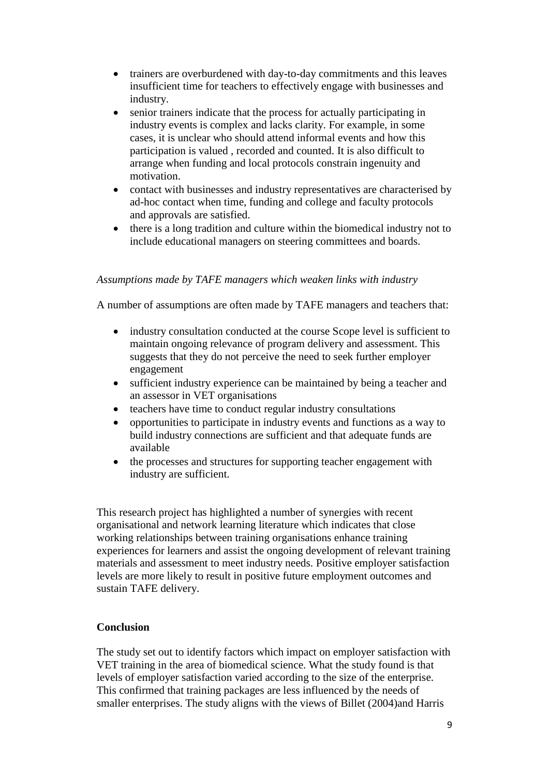- trainers are overburdened with day-to-day commitments and this leaves insufficient time for teachers to effectively engage with businesses and industry.
- senior trainers indicate that the process for actually participating in industry events is complex and lacks clarity. For example, in some cases, it is unclear who should attend informal events and how this participation is valued , recorded and counted. It is also difficult to arrange when funding and local protocols constrain ingenuity and motivation.
- contact with businesses and industry representatives are characterised by ad-hoc contact when time, funding and college and faculty protocols and approvals are satisfied.
- there is a long tradition and culture within the biomedical industry not to include educational managers on steering committees and boards.

# *Assumptions made by TAFE managers which weaken links with industry*

A number of assumptions are often made by TAFE managers and teachers that:

- industry consultation conducted at the course Scope level is sufficient to maintain ongoing relevance of program delivery and assessment. This suggests that they do not perceive the need to seek further employer engagement
- sufficient industry experience can be maintained by being a teacher and an assessor in VET organisations
- teachers have time to conduct regular industry consultations
- opportunities to participate in industry events and functions as a way to build industry connections are sufficient and that adequate funds are available
- the processes and structures for supporting teacher engagement with industry are sufficient.

This research project has highlighted a number of synergies with recent organisational and network learning literature which indicates that close working relationships between training organisations enhance training experiences for learners and assist the ongoing development of relevant training materials and assessment to meet industry needs. Positive employer satisfaction levels are more likely to result in positive future employment outcomes and sustain TAFE delivery.

### **Conclusion**

The study set out to identify factors which impact on employer satisfaction with VET training in the area of biomedical science. What the study found is that levels of employer satisfaction varied according to the size of the enterprise. This confirmed that training packages are less influenced by the needs of smaller enterprises. The study aligns with the views of Billet (2004)and Harris